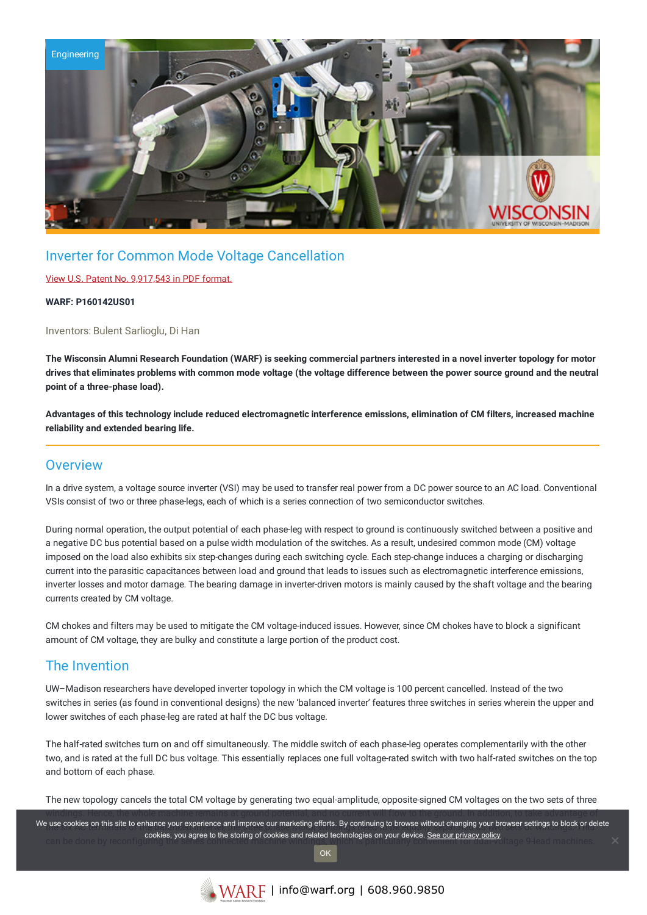

## Inverter for Common Mode Voltage Cancellation

#### View U.S. Patent No. [9,917,543](https://www.warf.org/wp-content/uploads/technologies/ipstatus/P160142US01.pdf) in PDF format.

#### **WARF: P160142US01**

Inventors: Bulent Sarlioglu, Di Han

The Wisconsin Alumni Research Foundation (WARF) is seeking commercial partners interested in a novel inverter topology for motor drives that eliminates problems with common mode voltage (the voltage difference between the power source ground and the neutral **point of a three-phase load).**

Advantages of this technology include reduced electromagnetic interference emissions, elimination of CM filters, increased machine **reliability and extended bearing life.**

### **Overview**

In a drive system, a voltage source inverter (VSI) may be used to transfer real power from a DC power source to an AC load. Conventional VSIs consist of two or three phase-legs, each of which is a series connection of two semiconductor switches.

During normal operation, the output potential of each phase-leg with respect to ground is continuously switched between a positive and a negative DC bus potential based on a pulse width modulation of the switches. As a result, undesired common mode (CM) voltage imposed on the load also exhibits six step-changes during each switching cycle. Each step-change induces a charging or discharging current into the parasitic capacitances between load and ground that leads to issues such as electromagnetic interference emissions, inverter losses and motor damage. The bearing damage in inverter-driven motors is mainly caused by the shaft voltage and the bearing currents created by CM voltage.

CM chokes and filters may be used to mitigate the CM voltage-induced issues. However, since CM chokes have to block a significant amount of CM voltage, they are bulky and constitute a large portion of the product cost.

## The Invention

UW–Madison researchers have developed inverter topology in which the CM voltage is 100 percent cancelled. Instead of the two switches in series (as found in conventional designs) the new 'balanced inverter' features three switches in series wherein the upper and lower switches of each phase-leg are rated at half the DC bus voltage.

The half-rated switches turn on and off simultaneously. The middle switch of each phase-leg operates complementarily with the other two, and is rated at the full DC bus voltage. This essentially replaces one full voltage-rated switch with two half-rated switches on the top and bottom of each phase.

The new topology cancels the total CM voltage by generating two equal-amplitude, opposite-signed CM voltages on the two sets of three

windings. Hence, the whole machine remains at ground potential, and no current will flow to the ground. In addition, to take advantage of We use cookies on this site to enhance your experience and improve our marketing efforts. By continuing to browse without changing your browser settings to block or delete **cookies, you agree to the storing of cookies and related technologies on your device. <u>See our privacy policy</u><br>.can be done by reconfi** OK